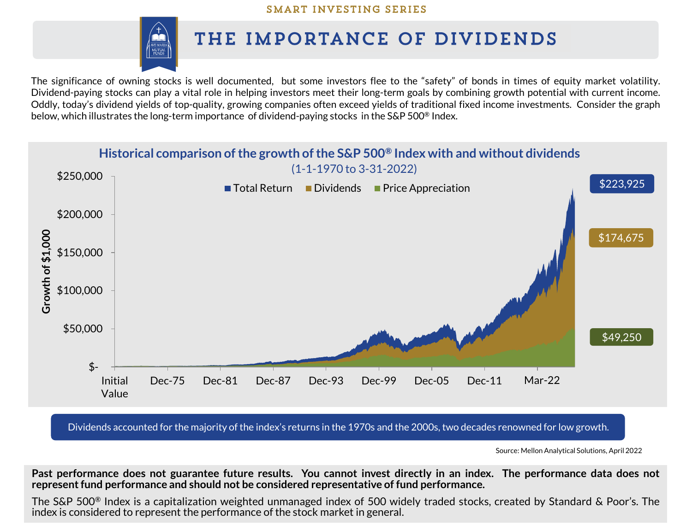

# THE IMPORTANCE OF DIVIDENDS

The significance of owning stocks is well documented, but some investors flee to the "safety" of bonds in times of equity market volatility. Dividend-paying stocks can play a vital role in helping investors meet their long-term goals by combining growth potential with current income. Oddly, today's dividend yields of top-quality, growing companies often exceed yields of traditional fixed income investments. Consider the graph below, which illustrates the long-term importance of dividend-paying stocks in the S&P 500® Index.



Dividends accounted for the majority of the index's returns in the 1970s and the 2000s, two decades renowned for low growth.

Source: Mellon Analytical Solutions, April 2022

Past performance does not guarantee future results. You cannot invest directly in an index. The performance data does not **representfund performance and should not be considered representative of fund performance.**

The S&P 500® Index is a capitalization weighted unmanaged index of 500 widely traded stocks, created by Standard & Poor's. The index is considered to represent the performance of the stock market in general.